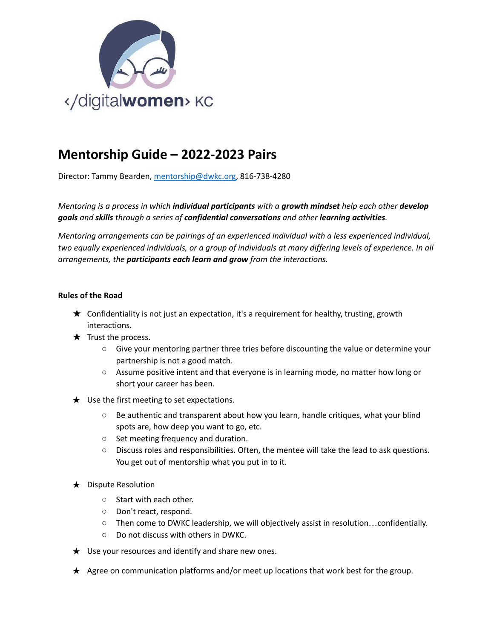

## **Mentorship Guide – 2022-2023 Pairs**

Director: Tammy Bearden, [mentorship@dwkc.org,](mailto:mentorship@dwkc.org) 816-738-4280

*Mentoring is a process in which individual participants with a growth mindset help each other develop goals and skills through a series of confidential conversations and other learning activities.*

*Mentoring arrangements can be pairings of an experienced individual with a less experienced individual,* two equally experienced individuals, or a group of individuals at many differing levels of experience. In all *arrangements, the participants each learn and grow from the interactions.*

## **Rules of the Road**

- $\star$  Confidentiality is not just an expectation, it's a requirement for healthy, trusting, growth interactions.
- $\star$  Trust the process.
	- Give your mentoring partner three tries before discounting the value or determine your partnership is not a good match.
	- Assume positive intent and that everyone is in learning mode, no matter how long or short your career has been.
- $\star$  Use the first meeting to set expectations.
	- Be authentic and transparent about how you learn, handle critiques, what your blind spots are, how deep you want to go, etc.
	- Set meeting frequency and duration.
	- Discuss roles and responsibilities. Often, the mentee will take the lead to ask questions. You get out of mentorship what you put in to it.
- $\star$  Dispute Resolution
	- Start with each other.
	- Don't react, respond.
	- Then come to DWKC leadership, we will objectively assist in resolution…confidentially.
	- Do not discuss with others in DWKC.
- $\star$  Use your resources and identify and share new ones.
- ★ Agree on communication platforms and/or meet up locations that work best for the group.